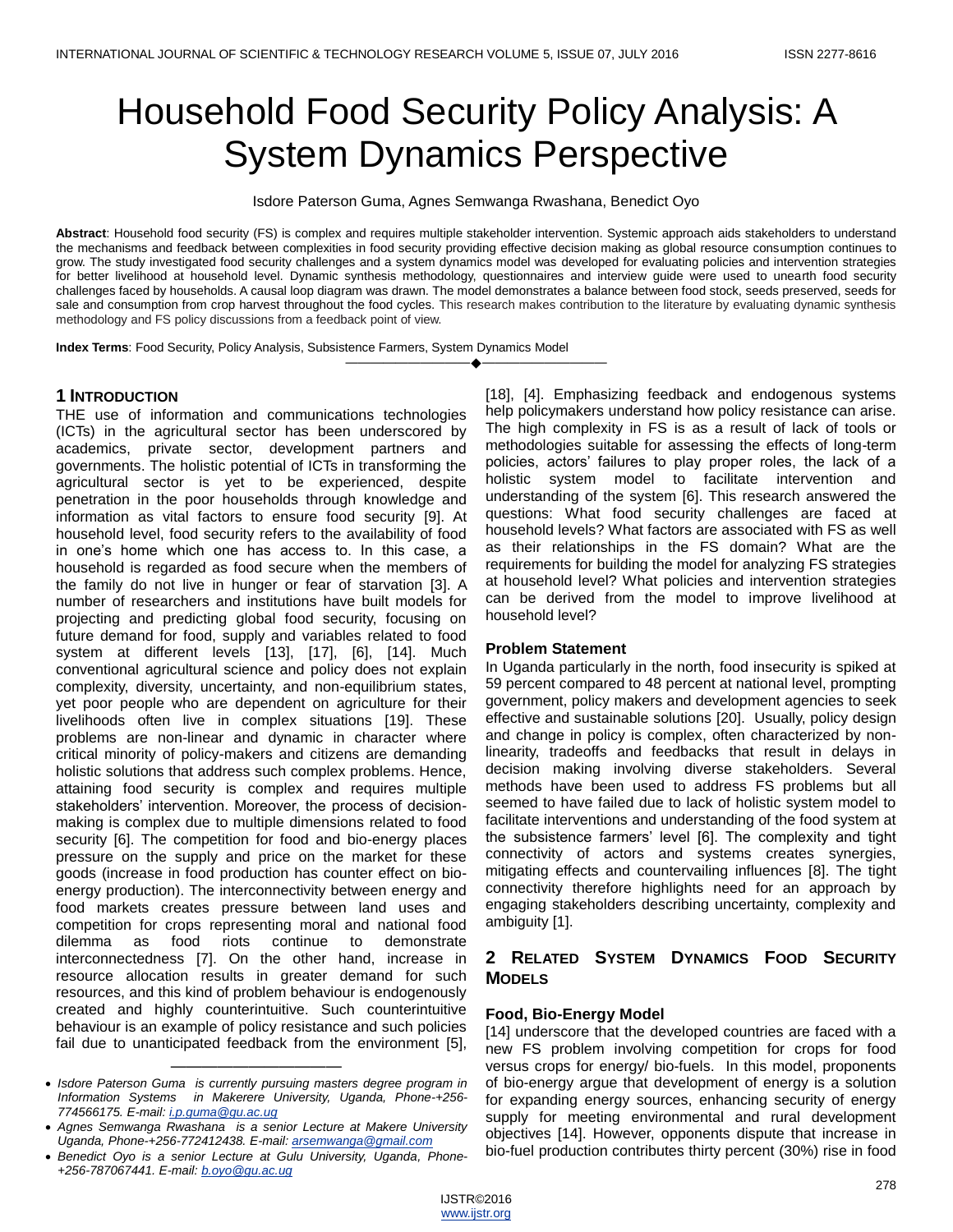# Household Food Security Policy Analysis: A System Dynamics Perspective

Isdore Paterson Guma, Agnes Semwanga Rwashana, Benedict Oyo

**Abstract**: Household food security (FS) is complex and requires multiple stakeholder intervention. Systemic approach aids stakeholders to understand the mechanisms and feedback between complexities in food security providing effective decision making as global resource consumption continues to grow. The study investigated food security challenges and a system dynamics model was developed for evaluating policies and intervention strategies for better livelihood at household level. Dynamic synthesis methodology, questionnaires and interview guide were used to unearth food security challenges faced by households. A causal loop diagram was drawn. The model demonstrates a balance between food stock, seeds preserved, seeds for sale and consumption from crop harvest throughout the food cycles. This research makes contribution to the literature by evaluating dynamic synthesis methodology and FS policy discussions from a feedback point of view.

————————————————————

**Index Terms**: Food Security, Policy Analysis, Subsistence Farmers, System Dynamics Model

## **1 INTRODUCTION**

THE use of information and communications technologies (ICTs) in the agricultural sector has been underscored by academics, private sector, development partners and governments. The holistic potential of ICTs in transforming the agricultural sector is yet to be experienced, despite penetration in the poor households through knowledge and information as vital factors to ensure food security [9]. At household level, food security refers to the availability of food in one's home which one has access to. In this case, a household is regarded as food secure when the members of the family do not live in hunger or fear of starvation [3]. A number of researchers and institutions have built models for projecting and predicting global food security, focusing on future demand for food, supply and variables related to food system at different levels [13], [17], [6], [14]. Much conventional agricultural science and policy does not explain complexity, diversity, uncertainty, and non-equilibrium states, yet poor people who are dependent on agriculture for their livelihoods often live in complex situations [19]. These problems are non-linear and dynamic in character where critical minority of policy-makers and citizens are demanding holistic solutions that address such complex problems. Hence, attaining food security is complex and requires multiple stakeholders' intervention. Moreover, the process of decisionmaking is complex due to multiple dimensions related to food security [6]. The competition for food and bio-energy places pressure on the supply and price on the market for these goods (increase in food production has counter effect on bioenergy production). The interconnectivity between energy and food markets creates pressure between land uses and competition for crops representing moral and national food dilemma as food riots continue to demonstrate interconnectedness [7]. On the other hand, increase in resource allocation results in greater demand for such resources, and this kind of problem behaviour is endogenously created and highly counterintuitive. Such counterintuitive behaviour is an example of policy resistance and such policies fail due to unanticipated feedback from the environment [5],

————————————————————

[18], [4]. Emphasizing feedback and endogenous systems help policymakers understand how policy resistance can arise. The high complexity in FS is as a result of lack of tools or methodologies suitable for assessing the effects of long-term policies, actors' failures to play proper roles, the lack of a holistic system model to facilitate intervention and understanding of the system [6]. This research answered the questions: What food security challenges are faced at household levels? What factors are associated with FS as well as their relationships in the FS domain? What are the requirements for building the model for analyzing FS strategies at household level? What policies and intervention strategies can be derived from the model to improve livelihood at household level?

#### **Problem Statement**

In Uganda particularly in the north, food insecurity is spiked at 59 percent compared to 48 percent at national level, prompting government, policy makers and development agencies to seek effective and sustainable solutions [20]. Usually, policy design and change in policy is complex, often characterized by nonlinearity, tradeoffs and feedbacks that result in delays in decision making involving diverse stakeholders. Several methods have been used to address FS problems but all seemed to have failed due to lack of holistic system model to facilitate interventions and understanding of the food system at the subsistence farmers' level [6]. The complexity and tight connectivity of actors and systems creates synergies, mitigating effects and countervailing influences [8]. The tight connectivity therefore highlights need for an approach by engaging stakeholders describing uncertainty, complexity and ambiguity [1].

## **2 RELATED SYSTEM DYNAMICS FOOD SECURITY MODELS**

#### **Food, Bio-Energy Model**

[14] underscore that the developed countries are faced with a new FS problem involving competition for crops for food versus crops for energy/ bio-fuels. In this model, proponents of bio-energy argue that development of energy is a solution for expanding energy sources, enhancing security of energy supply for meeting environmental and rural development objectives [14]. However, opponents dispute that increase in bio-fuel production contributes thirty percent (30%) rise in food

*Isdore Paterson Guma is currently pursuing masters degree program in Information Systems in Makerere University, Uganda, Phone-+256- 774566175. E-mail[: i.p.guma@gu.ac.ug](mailto:i.p.guma@gu.ac.ug)*

*Agnes Semwanga Rwashana is a senior Lecture at Makere University Uganda, Phone-+256-772412438. E-mail[: arsemwanga@gmail.com](mailto:arsemwanga@gmail.com)*

*Benedict Oyo is a senior Lecture at Gulu University, Uganda, Phone- +256-787067441. E-mail[: b.oyo@gu.ac.ug](mailto:b.oyo@gu.ac.ug)*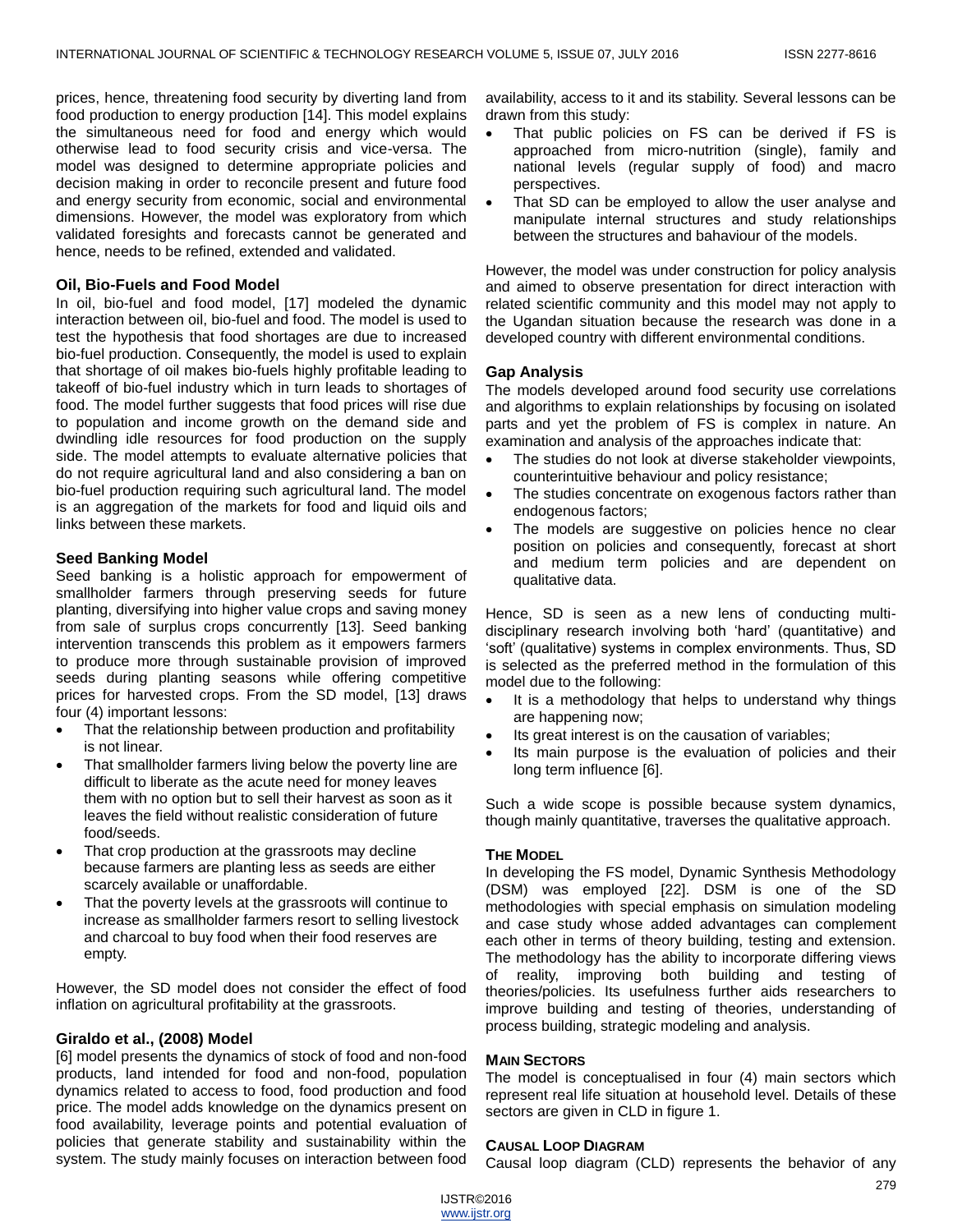prices, hence, threatening food security by diverting land from food production to energy production [14]. This model explains the simultaneous need for food and energy which would otherwise lead to food security crisis and vice-versa. The model was designed to determine appropriate policies and decision making in order to reconcile present and future food and energy security from economic, social and environmental dimensions. However, the model was exploratory from which validated foresights and forecasts cannot be generated and hence, needs to be refined, extended and validated.

#### **Oil, Bio-Fuels and Food Model**

In oil, bio-fuel and food model, [17] modeled the dynamic interaction between oil, bio-fuel and food. The model is used to test the hypothesis that food shortages are due to increased bio-fuel production. Consequently, the model is used to explain that shortage of oil makes bio-fuels highly profitable leading to takeoff of bio-fuel industry which in turn leads to shortages of food. The model further suggests that food prices will rise due to population and income growth on the demand side and dwindling idle resources for food production on the supply side. The model attempts to evaluate alternative policies that do not require agricultural land and also considering a ban on bio-fuel production requiring such agricultural land. The model is an aggregation of the markets for food and liquid oils and links between these markets.

#### **Seed Banking Model**

Seed banking is a holistic approach for empowerment of smallholder farmers through preserving seeds for future planting, diversifying into higher value crops and saving money from sale of surplus crops concurrently [13]. Seed banking intervention transcends this problem as it empowers farmers to produce more through sustainable provision of improved seeds during planting seasons while offering competitive prices for harvested crops. From the SD model, [13] draws four (4) important lessons:

- That the relationship between production and profitability is not linear.
- That smallholder farmers living below the poverty line are difficult to liberate as the acute need for money leaves them with no option but to sell their harvest as soon as it leaves the field without realistic consideration of future food/seeds.
- That crop production at the grassroots may decline because farmers are planting less as seeds are either scarcely available or unaffordable.
- That the poverty levels at the grassroots will continue to increase as smallholder farmers resort to selling livestock and charcoal to buy food when their food reserves are empty.

However, the SD model does not consider the effect of food inflation on agricultural profitability at the grassroots.

#### **Giraldo et al., (2008) Model**

[6] model presents the dynamics of stock of food and non-food products, land intended for food and non-food, population dynamics related to access to food, food production and food price. The model adds knowledge on the dynamics present on food availability, leverage points and potential evaluation of policies that generate stability and sustainability within the system. The study mainly focuses on interaction between food

availability, access to it and its stability. Several lessons can be drawn from this study:

- That public policies on FS can be derived if FS is approached from micro-nutrition (single), family and national levels (regular supply of food) and macro perspectives.
- That SD can be employed to allow the user analyse and manipulate internal structures and study relationships between the structures and bahaviour of the models.

However, the model was under construction for policy analysis and aimed to observe presentation for direct interaction with related scientific community and this model may not apply to the Ugandan situation because the research was done in a developed country with different environmental conditions.

#### **Gap Analysis**

The models developed around food security use correlations and algorithms to explain relationships by focusing on isolated parts and yet the problem of FS is complex in nature. An examination and analysis of the approaches indicate that:

- The studies do not look at diverse stakeholder viewpoints, counterintuitive behaviour and policy resistance;
- The studies concentrate on exogenous factors rather than endogenous factors;
- The models are suggestive on policies hence no clear position on policies and consequently, forecast at short and medium term policies and are dependent on qualitative data.

Hence, SD is seen as a new lens of conducting multidisciplinary research involving both 'hard' (quantitative) and ‗soft' (qualitative) systems in complex environments. Thus, SD is selected as the preferred method in the formulation of this model due to the following:

- It is a methodology that helps to understand why things are happening now;
- Its great interest is on the causation of variables;
- Its main purpose is the evaluation of policies and their long term influence [6].

Such a wide scope is possible because system dynamics, though mainly quantitative, traverses the qualitative approach.

#### **THE MODEL**

In developing the FS model, Dynamic Synthesis Methodology (DSM) was employed [22]. DSM is one of the SD methodologies with special emphasis on simulation modeling and case study whose added advantages can complement each other in terms of theory building, testing and extension. The methodology has the ability to incorporate differing views of reality, improving both building and testing of theories/policies. Its usefulness further aids researchers to improve building and testing of theories, understanding of process building, strategic modeling and analysis.

#### **MAIN SECTORS**

The model is conceptualised in four (4) main sectors which represent real life situation at household level. Details of these sectors are given in CLD in figure 1.

#### **CAUSAL LOOP DIAGRAM**

Causal loop diagram (CLD) represents the behavior of any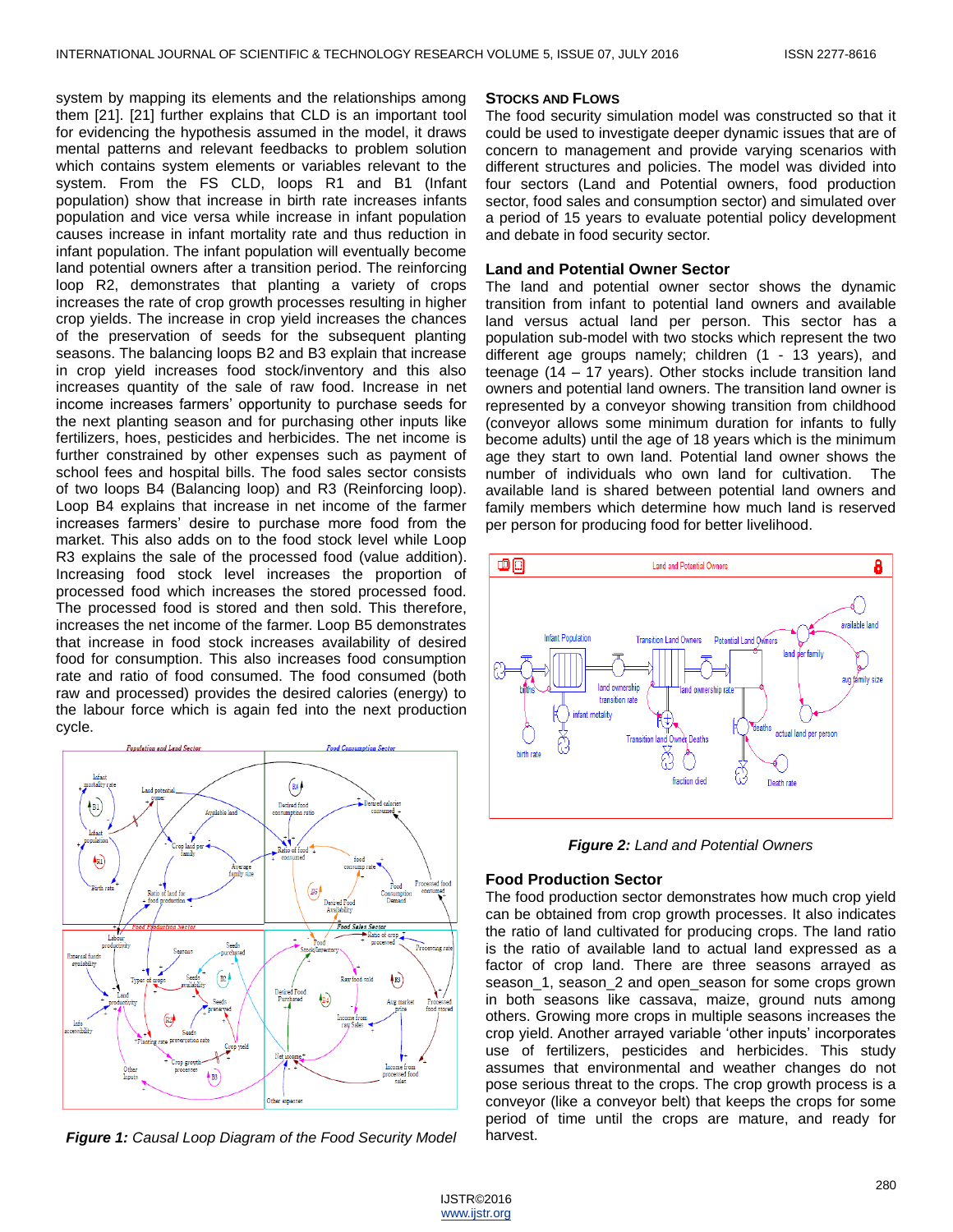system by mapping its elements and the relationships among them [21]. [21] further explains that CLD is an important tool for evidencing the hypothesis assumed in the model, it draws mental patterns and relevant feedbacks to problem solution which contains system elements or variables relevant to the system. From the FS CLD, loops R1 and B1 (Infant population) show that increase in birth rate increases infants population and vice versa while increase in infant population causes increase in infant mortality rate and thus reduction in infant population. The infant population will eventually become land potential owners after a transition period. The reinforcing loop R2, demonstrates that planting a variety of crops increases the rate of crop growth processes resulting in higher crop yields. The increase in crop yield increases the chances of the preservation of seeds for the subsequent planting seasons. The balancing loops B2 and B3 explain that increase in crop yield increases food stock/inventory and this also increases quantity of the sale of raw food. Increase in net income increases farmers' opportunity to purchase seeds for the next planting season and for purchasing other inputs like fertilizers, hoes, pesticides and herbicides. The net income is further constrained by other expenses such as payment of school fees and hospital bills. The food sales sector consists of two loops B4 (Balancing loop) and R3 (Reinforcing loop). Loop B4 explains that increase in net income of the farmer increases farmers' desire to purchase more food from the market. This also adds on to the food stock level while Loop R3 explains the sale of the processed food (value addition). Increasing food stock level increases the proportion of processed food which increases the stored processed food. The processed food is stored and then sold. This therefore, increases the net income of the farmer. Loop B5 demonstrates that increase in food stock increases availability of desired food for consumption. This also increases food consumption rate and ratio of food consumed. The food consumed (both raw and processed) provides the desired calories (energy) to the labour force which is again fed into the next production cycle.



*Figure 1: Causal Loop Diagram of the Food Security Model*

#### **STOCKS AND FLOWS**

The food security simulation model was constructed so that it could be used to investigate deeper dynamic issues that are of concern to management and provide varying scenarios with different structures and policies. The model was divided into four sectors (Land and Potential owners, food production sector, food sales and consumption sector) and simulated over a period of 15 years to evaluate potential policy development and debate in food security sector.

#### **Land and Potential Owner Sector**

The land and potential owner sector shows the dynamic transition from infant to potential land owners and available land versus actual land per person. This sector has a population sub-model with two stocks which represent the two different age groups namely; children (1 - 13 years), and teenage (14 – 17 years). Other stocks include transition land owners and potential land owners. The transition land owner is represented by a conveyor showing transition from childhood (conveyor allows some minimum duration for infants to fully become adults) until the age of 18 years which is the minimum age they start to own land. Potential land owner shows the number of individuals who own land for cultivation. The available land is shared between potential land owners and family members which determine how much land is reserved per person for producing food for better livelihood.



*Figure 2: Land and Potential Owners*

#### **Food Production Sector**

The food production sector demonstrates how much crop yield can be obtained from crop growth processes. It also indicates the ratio of land cultivated for producing crops. The land ratio is the ratio of available land to actual land expressed as a factor of crop land. There are three seasons arrayed as season\_1, season\_2 and open\_season for some crops grown in both seasons like cassava, maize, ground nuts among others. Growing more crops in multiple seasons increases the crop yield. Another arrayed variable 'other inputs' incorporates use of fertilizers, pesticides and herbicides. This study assumes that environmental and weather changes do not pose serious threat to the crops. The crop growth process is a conveyor (like a conveyor belt) that keeps the crops for some period of time until the crops are mature, and ready for harvest.

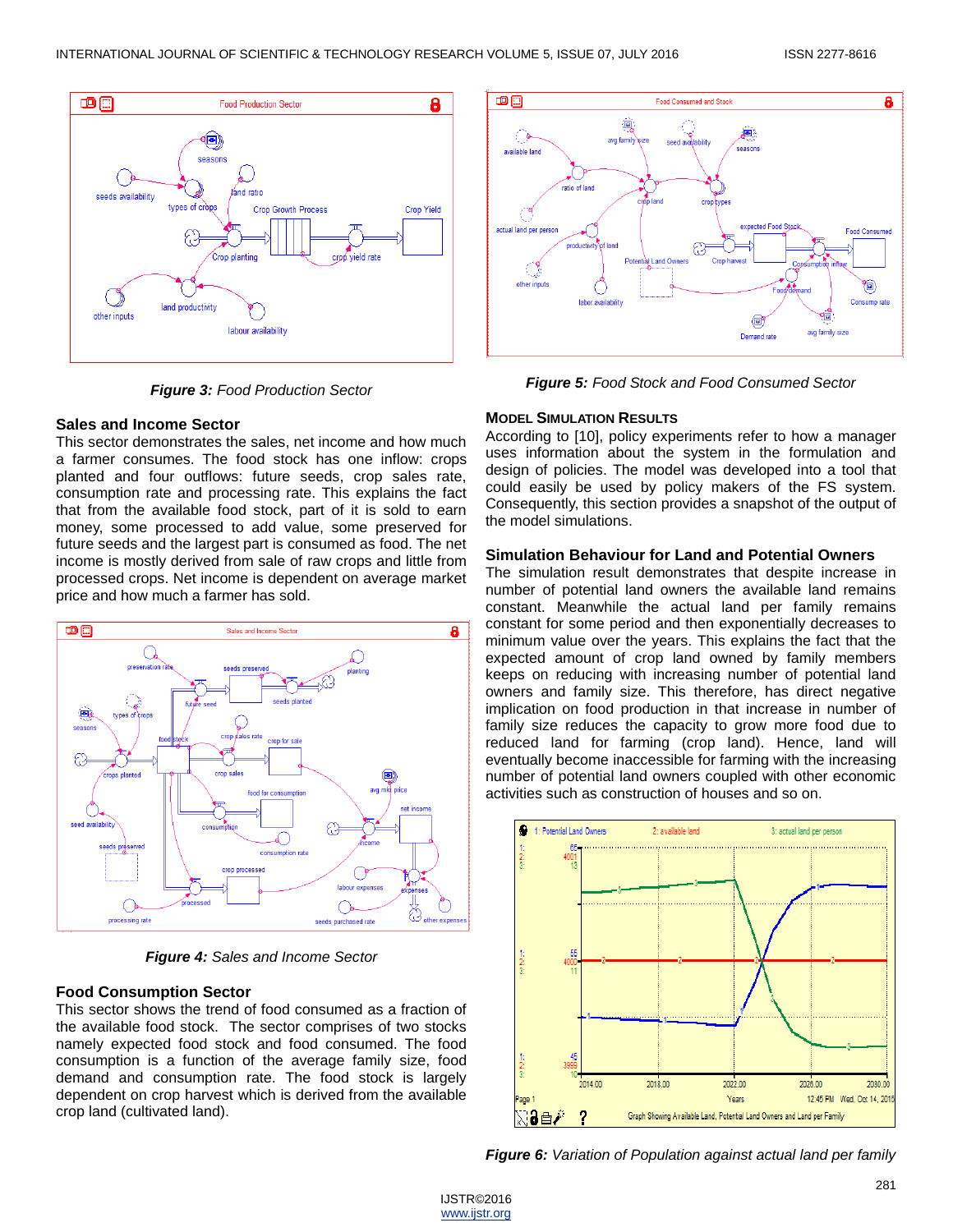

*Figure 3: Food Production Sector*



This sector demonstrates the sales, net income and how much a farmer consumes. The food stock has one inflow: crops planted and four outflows: future seeds, crop sales rate, consumption rate and processing rate. This explains the fact that from the available food stock, part of it is sold to earn money, some processed to add value, some preserved for future seeds and the largest part is consumed as food. The net income is mostly derived from sale of raw crops and little from processed crops. Net income is dependent on average market price and how much a farmer has sold.



*Figure 4: Sales and Income Sector*

## **Food Consumption Sector**

This sector shows the trend of food consumed as a fraction of the available food stock. The sector comprises of two stocks namely expected food stock and food consumed. The food consumption is a function of the average family size, food demand and consumption rate. The food stock is largely dependent on crop harvest which is derived from the available crop land (cultivated land).



*Figure 5: Food Stock and Food Consumed Sector*

## **MODEL SIMULATION RESULTS**

According to [10], policy experiments refer to how a manager uses information about the system in the formulation and design of policies. The model was developed into a tool that could easily be used by policy makers of the FS system. Consequently, this section provides a snapshot of the output of the model simulations.

## **Simulation Behaviour for Land and Potential Owners**

The simulation result demonstrates that despite increase in number of potential land owners the available land remains constant. Meanwhile the actual land per family remains constant for some period and then exponentially decreases to minimum value over the years. This explains the fact that the expected amount of crop land owned by family members keeps on reducing with increasing number of potential land owners and family size. This therefore, has direct negative implication on food production in that increase in number of family size reduces the capacity to grow more food due to reduced land for farming (crop land). Hence, land will eventually become inaccessible for farming with the increasing number of potential land owners coupled with other economic activities such as construction of houses and so on.



*Figure 6: Variation of Population against actual land per family*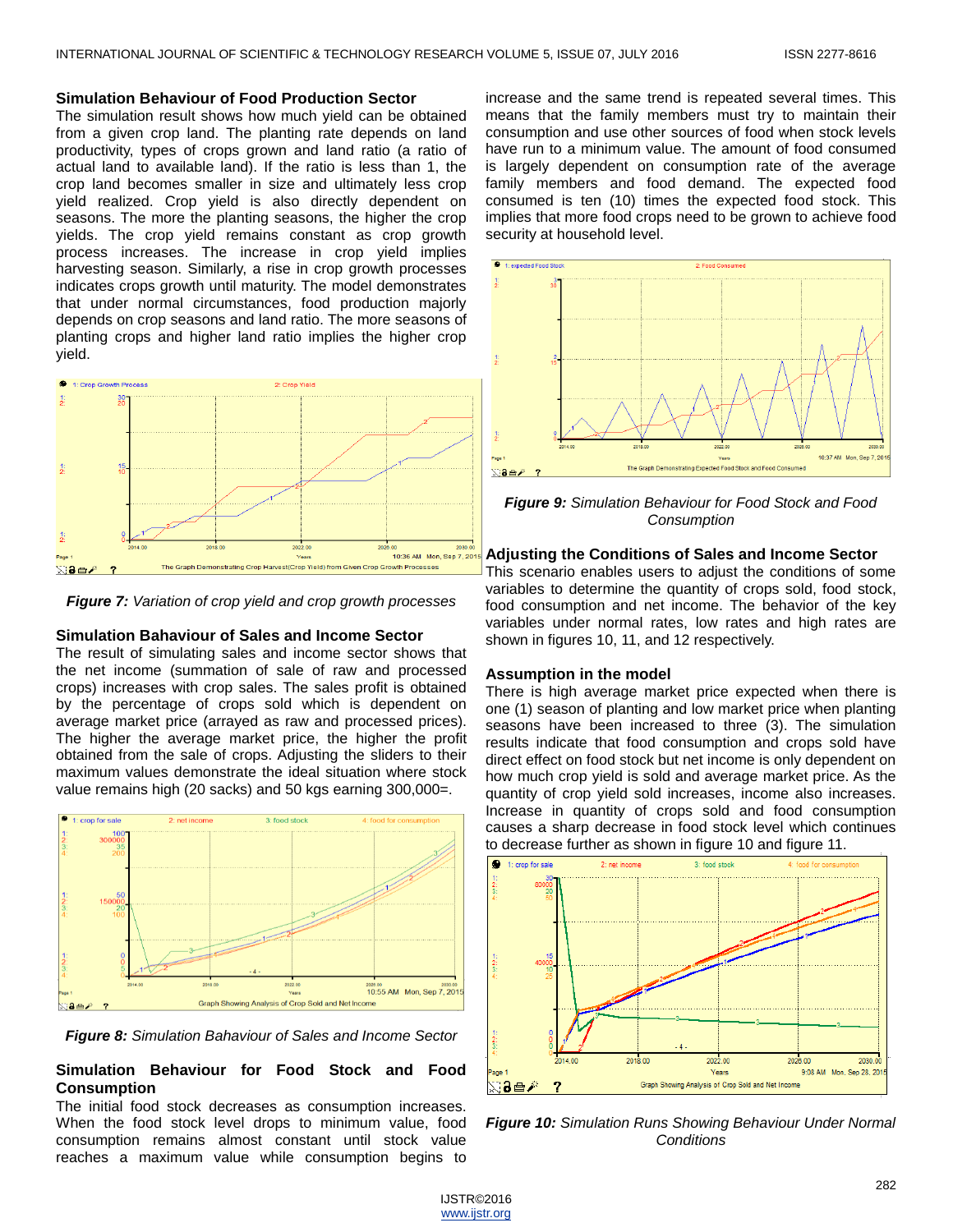#### **Simulation Behaviour of Food Production Sector**

The simulation result shows how much yield can be obtained from a given crop land. The planting rate depends on land productivity, types of crops grown and land ratio (a ratio of actual land to available land). If the ratio is less than 1, the crop land becomes smaller in size and ultimately less crop yield realized. Crop yield is also directly dependent on seasons. The more the planting seasons, the higher the crop yields. The crop yield remains constant as crop growth process increases. The increase in crop yield implies harvesting season. Similarly, a rise in crop growth processes indicates crops growth until maturity. The model demonstrates that under normal circumstances, food production majorly depends on crop seasons and land ratio. The more seasons of planting crops and higher land ratio implies the higher crop yield.



*Figure 7: Variation of crop yield and crop growth processes*

#### **Simulation Bahaviour of Sales and Income Sector**

The result of simulating sales and income sector shows that the net income (summation of sale of raw and processed crops) increases with crop sales. The sales profit is obtained by the percentage of crops sold which is dependent on average market price (arrayed as raw and processed prices). The higher the average market price, the higher the profit obtained from the sale of crops. Adjusting the sliders to their maximum values demonstrate the ideal situation where stock value remains high (20 sacks) and 50 kgs earning 300,000=.



*Figure 8: Simulation Bahaviour of Sales and Income Sector*

## **Simulation Behaviour for Food Stock and Food Consumption**

The initial food stock decreases as consumption increases. When the food stock level drops to minimum value, food consumption remains almost constant until stock value reaches a maximum value while consumption begins to increase and the same trend is repeated several times. This means that the family members must try to maintain their consumption and use other sources of food when stock levels have run to a minimum value. The amount of food consumed is largely dependent on consumption rate of the average family members and food demand. The expected food consumed is ten (10) times the expected food stock. This implies that more food crops need to be grown to achieve food security at household level.



*Figure 9: Simulation Behaviour for Food Stock and Food Consumption*

## **Adjusting the Conditions of Sales and Income Sector**

This scenario enables users to adjust the conditions of some variables to determine the quantity of crops sold, food stock, food consumption and net income. The behavior of the key variables under normal rates, low rates and high rates are shown in figures 10, 11, and 12 respectively.

#### **Assumption in the model**

There is high average market price expected when there is one (1) season of planting and low market price when planting seasons have been increased to three (3). The simulation results indicate that food consumption and crops sold have direct effect on food stock but net income is only dependent on how much crop yield is sold and average market price. As the quantity of crop yield sold increases, income also increases. Increase in quantity of crops sold and food consumption causes a sharp decrease in food stock level which continues to decrease further as shown in figure 10 and figure 11.



*Figure 10: Simulation Runs Showing Behaviour Under Normal Conditions*

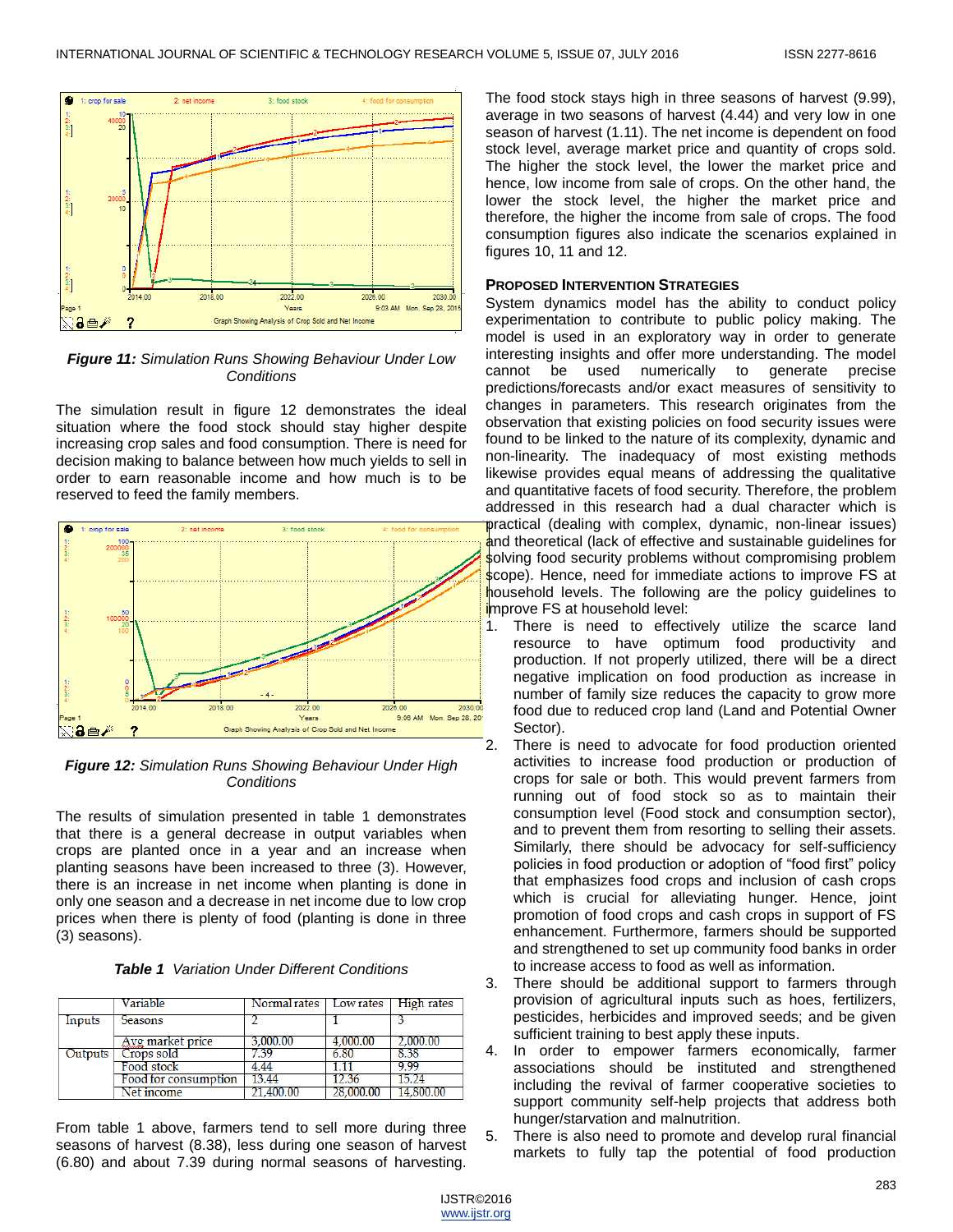

*Figure 11: Simulation Runs Showing Behaviour Under Low Conditions*

The simulation result in figure 12 demonstrates the ideal situation where the food stock should stay higher despite increasing crop sales and food consumption. There is need for decision making to balance between how much yields to sell in order to earn reasonable income and how much is to be reserved to feed the family members.



*Figure 12: Simulation Runs Showing Behaviour Under High Conditions*

The results of simulation presented in table 1 demonstrates that there is a general decrease in output variables when crops are planted once in a year and an increase when planting seasons have been increased to three (3). However, there is an increase in net income when planting is done in only one season and a decrease in net income due to low crop prices when there is plenty of food (planting is done in three (3) seasons).

|  |  |  |  |  | <b>Table 1</b> Variation Under Different Conditions |
|--|--|--|--|--|-----------------------------------------------------|
|--|--|--|--|--|-----------------------------------------------------|

|         | Variable             | Normal rates   Low rates |           | High rates |
|---------|----------------------|--------------------------|-----------|------------|
| Inputs  | Seasons              |                          |           |            |
|         | Avg market price     | 3.000.00                 | 4.000.00  | 2.000.00   |
| Outputs | Crops sold           | .39                      | 6.80      | 8.38       |
|         | Food stock           | 44                       |           | 9.99       |
|         | Food for consumption | 13.44                    |           | 15.24      |
|         | Net income           |                          | 28.000.00 | 14,800.00  |

From table 1 above, farmers tend to sell more during three seasons of harvest (8.38), less during one season of harvest (6.80) and about 7.39 during normal seasons of harvesting.

The food stock stays high in three seasons of harvest (9.99), average in two seasons of harvest (4.44) and very low in one season of harvest (1.11). The net income is dependent on food stock level, average market price and quantity of crops sold. The higher the stock level, the lower the market price and hence, low income from sale of crops. On the other hand, the lower the stock level, the higher the market price and therefore, the higher the income from sale of crops. The food consumption figures also indicate the scenarios explained in figures 10, 11 and 12.

#### **PROPOSED INTERVENTION STRATEGIES**

System dynamics model has the ability to conduct policy experimentation to contribute to public policy making. The model is used in an exploratory way in order to generate interesting insights and offer more understanding. The model cannot be used numerically to generate precise predictions/forecasts and/or exact measures of sensitivity to changes in parameters. This research originates from the observation that existing policies on food security issues were found to be linked to the nature of its complexity, dynamic and non-linearity. The inadequacy of most existing methods likewise provides equal means of addressing the qualitative and quantitative facets of food security. Therefore, the problem addressed in this research had a dual character which is practical (dealing with complex, dynamic, non-linear issues) and theoretical (lack of effective and sustainable guidelines for solving food security problems without compromising problem scope). Hence, need for immediate actions to improve FS at household levels. The following are the policy guidelines to improve FS at household level:

- 1. There is need to effectively utilize the scarce land resource to have optimum food productivity and production. If not properly utilized, there will be a direct negative implication on food production as increase in number of family size reduces the capacity to grow more food due to reduced crop land (Land and Potential Owner Sector).
- 2. There is need to advocate for food production oriented activities to increase food production or production of crops for sale or both. This would prevent farmers from running out of food stock so as to maintain their consumption level (Food stock and consumption sector), and to prevent them from resorting to selling their assets. Similarly, there should be advocacy for self-sufficiency policies in food production or adoption of "food first" policy that emphasizes food crops and inclusion of cash crops which is crucial for alleviating hunger. Hence, joint promotion of food crops and cash crops in support of FS enhancement. Furthermore, farmers should be supported and strengthened to set up community food banks in order to increase access to food as well as information.
- 3. There should be additional support to farmers through provision of agricultural inputs such as hoes, fertilizers, pesticides, herbicides and improved seeds; and be given sufficient training to best apply these inputs.
- 4. In order to empower farmers economically, farmer associations should be instituted and strengthened including the revival of farmer cooperative societies to support community self-help projects that address both hunger/starvation and malnutrition.
- 5. There is also need to promote and develop rural financial markets to fully tap the potential of food production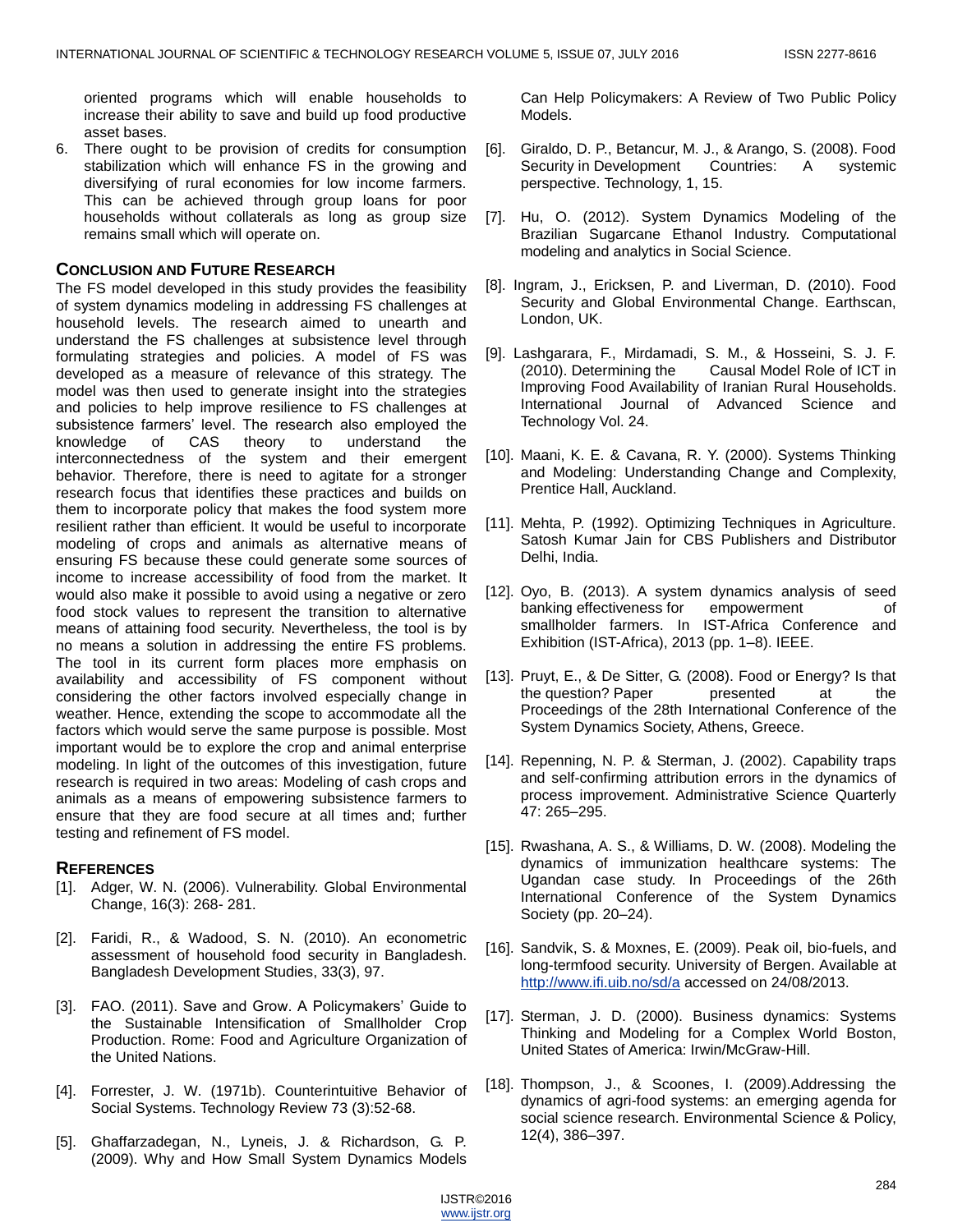oriented programs which will enable households to increase their ability to save and build up food productive asset bases.

6. There ought to be provision of credits for consumption stabilization which will enhance FS in the growing and diversifying of rural economies for low income farmers. This can be achieved through group loans for poor households without collaterals as long as group size remains small which will operate on.

## **CONCLUSION AND FUTURE RESEARCH**

The FS model developed in this study provides the feasibility of system dynamics modeling in addressing FS challenges at household levels. The research aimed to unearth and understand the FS challenges at subsistence level through formulating strategies and policies. A model of FS was developed as a measure of relevance of this strategy. The model was then used to generate insight into the strategies and policies to help improve resilience to FS challenges at subsistence farmers' level. The research also employed the knowledge of CAS theory to understand the interconnectedness of the system and their emergent behavior. Therefore, there is need to agitate for a stronger research focus that identifies these practices and builds on them to incorporate policy that makes the food system more resilient rather than efficient. It would be useful to incorporate modeling of crops and animals as alternative means of ensuring FS because these could generate some sources of income to increase accessibility of food from the market. It would also make it possible to avoid using a negative or zero food stock values to represent the transition to alternative means of attaining food security. Nevertheless, the tool is by no means a solution in addressing the entire FS problems. The tool in its current form places more emphasis on availability and accessibility of FS component without considering the other factors involved especially change in weather. Hence, extending the scope to accommodate all the factors which would serve the same purpose is possible. Most important would be to explore the crop and animal enterprise modeling. In light of the outcomes of this investigation, future research is required in two areas: Modeling of cash crops and animals as a means of empowering subsistence farmers to ensure that they are food secure at all times and; further testing and refinement of FS model.

#### **REFERENCES**

- [1]. Adger, W. N. (2006). Vulnerability. Global Environmental Change, 16(3): 268- 281.
- [2]. Faridi, R., & Wadood, S. N. (2010). An econometric assessment of household food security in Bangladesh. Bangladesh Development Studies, 33(3), 97.
- [3]. FAO. (2011). Save and Grow. A Policymakers' Guide to the Sustainable Intensification of Smallholder Crop Production. Rome: Food and Agriculture Organization of the United Nations.
- [4]. Forrester, J. W. (1971b). Counterintuitive Behavior of Social Systems. Technology Review 73 (3):52-68.
- [5]. Ghaffarzadegan, N., Lyneis, J. & Richardson, G. P. (2009). Why and How Small System Dynamics Models

Can Help Policymakers: A Review of Two Public Policy Models.

- [6]. Giraldo, D. P., Betancur, M. J., & Arango, S. (2008). Food Security in Development Countries: A systemic perspective. Technology, 1, 15.
- [7]. Hu, O. (2012). System Dynamics Modeling of the Brazilian Sugarcane Ethanol Industry. Computational modeling and analytics in Social Science.
- [8]. Ingram, J., Ericksen, P. and Liverman, D. (2010). Food Security and Global Environmental Change. Earthscan, London, UK.
- [9]. Lashgarara, F., Mirdamadi, S. M., & Hosseini, S. J. F. (2010). Determining the Causal Model Role of ICT in Improving Food Availability of Iranian Rural Households. International Journal of Advanced Science and Technology Vol. 24.
- [10]. Maani, K. E. & Cavana, R. Y. (2000). Systems Thinking and Modeling: Understanding Change and Complexity, Prentice Hall, Auckland.
- [11]. Mehta, P. (1992). Optimizing Techniques in Agriculture. Satosh Kumar Jain for CBS Publishers and Distributor Delhi, India.
- [12]. Oyo, B. (2013). A system dynamics analysis of seed banking effectiveness for empowerment of smallholder farmers. In IST-Africa Conference and Exhibition (IST-Africa), 2013 (pp. 1–8). IEEE.
- [13]. Pruyt, E., & De Sitter, G. (2008). Food or Energy? Is that the question? Paper presented at the Proceedings of the 28th International Conference of the System Dynamics Society, Athens, Greece.
- [14]. Repenning, N. P. & Sterman, J. (2002). Capability traps and self-confirming attribution errors in the dynamics of process improvement. Administrative Science Quarterly 47: 265–295.
- [15]. Rwashana, A. S., & Williams, D. W. (2008). Modeling the dynamics of immunization healthcare systems: The Ugandan case study. In Proceedings of the 26th International Conference of the System Dynamics Society (pp. 20–24).
- [16]. Sandvik, S. & Moxnes, E. (2009). Peak oil, bio-fuels, and long-termfood security. University of Bergen. Available at <http://www.ifi.uib.no/sd/a> accessed on 24/08/2013.
- [17]. Sterman, J. D. (2000). Business dynamics: Systems Thinking and Modeling for a Complex World Boston, United States of America: Irwin/McGraw-Hill.
- [18]. Thompson, J., & Scoones, I. (2009).Addressing the dynamics of agri-food systems: an emerging agenda for social science research. Environmental Science & Policy, 12(4), 386–397.